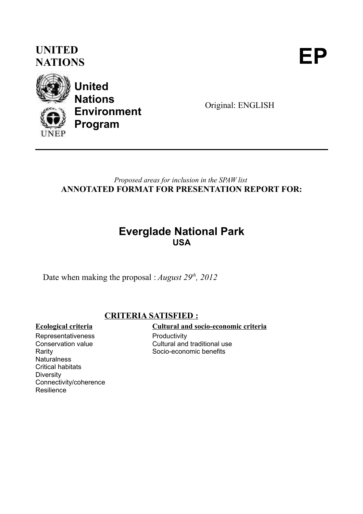### **UNITED** UNITED<br>NATIONS



**United Nations Environment Program**

Original: ENGLISH

#### *Proposed areas for inclusion in the SPAW list* **ANNOTATED FORMAT FOR PRESENTATION REPORT FOR:**

### **Everglade National Park USA**

Date when making the proposal : *August 29th, 2012*

#### **CRITERIA SATISFIED :**

Representativeness Conservation value Rarity **Naturalness** Critical habitats Diversity Connectivity/coherence **Resilience** 

#### **Ecological criteria Cultural and socio-economic criteria**

**Productivity** Cultural and traditional use Socio-economic benefits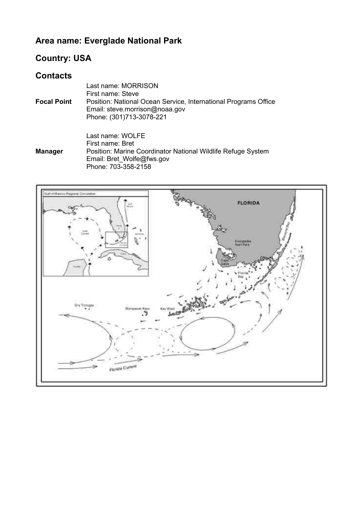### **Area name: Everglade National Park**

#### **Country: USA**

#### **Contacts**

|                    | Last name: MORRISON<br>First name: Steve                        |
|--------------------|-----------------------------------------------------------------|
|                    |                                                                 |
| <b>Focal Point</b> | Position: National Ocean Service, International Programs Office |
|                    | Email: steve.morrison@noaa.gov                                  |
|                    | Phone: (301)713-3078-221                                        |
|                    |                                                                 |

**Manager** Last name: WOLFE First name: Bret Position: Marine Coordinator National Wildlife Refuge System Email: Bret\_Wolfe@fws.gov Phone: 703-358-2158

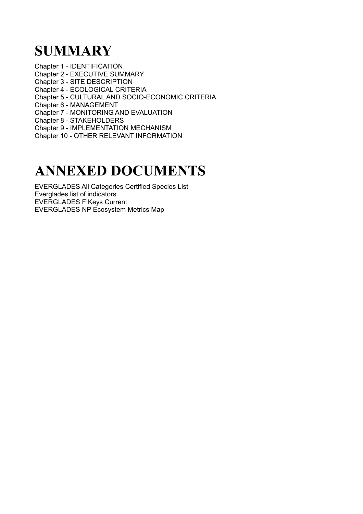## **SUMMARY**

Chapter 1 - IDENTIFICATION Chapter 2 - EXECUTIVE SUMMARY Chapter 3 - SITE DESCRIPTION Chapter 4 - ECOLOGICAL CRITERIA Chapter 5 - CULTURAL AND SOCIO-ECONOMIC CRITERIA Chapter 6 - MANAGEMENT Chapter 7 - MONITORING AND EVALUATION Chapter 8 - STAKEHOLDERS Chapter 9 - IMPLEMENTATION MECHANISM Chapter 10 - OTHER RELEVANT INFORMATION

## **ANNEXED DOCUMENTS**

EVERGLADES All Categories Certified Species List Everglades list of indicators EVERGLADES FIKeys Current EVERGLADES NP Ecosystem Metrics Map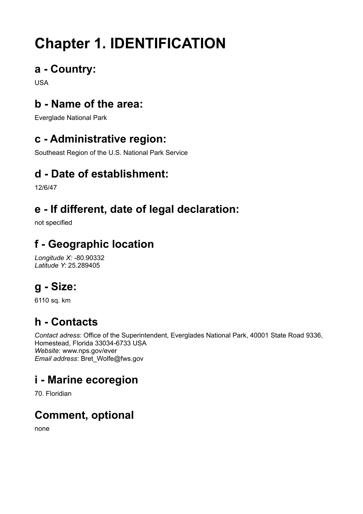# **Chapter 1. IDENTIFICATION**

### **a - Country:**

USA

### **b - Name of the area:**

Everglade National Park

### **c - Administrative region:**

Southeast Region of the U.S. National Park Service

### **d - Date of establishment:**

12/6/47

### **e - If different, date of legal declaration:**

not specified

### **f - Geographic location**

*Longitude X:* -80.90332 *Latitude Y:* 25.289405

## **g - Size:**

6110 sq. km

### **h - Contacts**

*Contact adress*: Office of the Superintendent, Everglades National Park, 40001 State Road 9336, Homestead, Florida 33034-6733 USA *Website*: www.nps.gov/ever *Email address*: Bret\_Wolfe@fws.gov

### **i - Marine ecoregion**

70. Floridian

### **Comment, optional**

none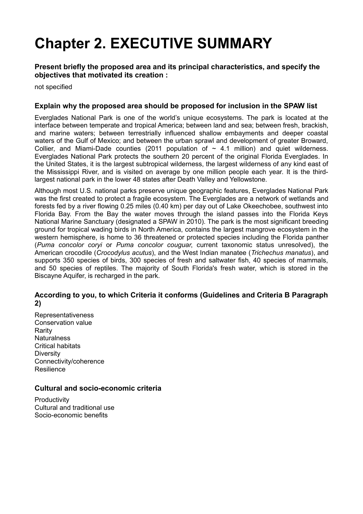## **Chapter 2. EXECUTIVE SUMMARY**

#### **Present briefly the proposed area and its principal characteristics, and specify the objectives that motivated its creation :**

not specified

#### **Explain why the proposed area should be proposed for inclusion in the SPAW list**

Everglades National Park is one of the world's unique ecosystems. The park is located at the interface between temperate and tropical America; between land and sea; between fresh, brackish, and marine waters; between terrestrially influenced shallow embayments and deeper coastal waters of the Gulf of Mexico; and between the urban sprawl and development of greater Broward, Collier, and Miami-Dade counties (2011 population of  $\sim$  4.1 million) and quiet wilderness. Everglades National Park protects the southern 20 percent of the original Florida Everglades. In the United States, it is the largest subtropical wilderness, the largest wilderness of any kind east of the Mississippi River, and is visited on average by one million people each year. It is the thirdlargest national park in the lower 48 states after Death Valley and Yellowstone.

Although most U.S. national parks preserve unique geographic features, Everglades National Park was the first created to protect a fragile ecosystem. The Everglades are a network of wetlands and forests fed by a river flowing 0.25 miles (0.40 km) per day out of Lake Okeechobee, southwest into Florida Bay. From the Bay the water moves through the island passes into the Florida Keys National Marine Sanctuary (designated a SPAW in 2010). The park is the most significant breeding ground for tropical wading birds in North America, contains the largest mangrove ecosystem in the western hemisphere, is home to 36 threatened or protected species including the Florida panther (*Puma concolor coryi* or *Puma concolor couguar*, current taxonomic status unresolved), the American crocodile (*Crocodylus acutus*), and the West Indian manatee (*Trichechus manatus*), and supports 350 species of birds, 300 species of fresh and saltwater fish, 40 species of mammals, and 50 species of reptiles. The majority of South Florida's fresh water, which is stored in the Biscayne Aquifer, is recharged in the park.

#### **According to you, to which Criteria it conforms (Guidelines and Criteria B Paragraph 2)**

Representativeness Conservation value Rarity **Naturalness** Critical habitats **Diversity** Connectivity/coherence Resilience

#### **Cultural and socio-economic criteria**

**Productivity** Cultural and traditional use Socio-economic benefits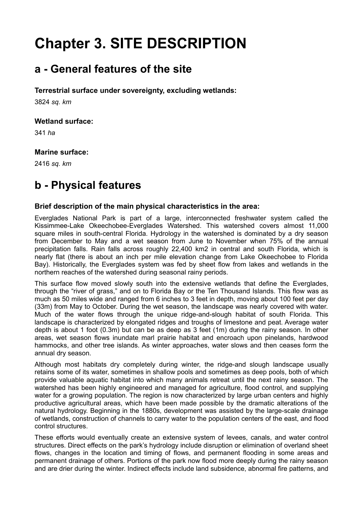## **Chapter 3. SITE DESCRIPTION**

### **a - General features of the site**

#### **Terrestrial surface under sovereignty, excluding wetlands:**

3824 *sq. km*

#### **Wetland surface:**

341 *ha*

#### **Marine surface:**

2416 *sq. km*

### **b - Physical features**

#### **Brief description of the main physical characteristics in the area:**

Everglades National Park is part of a large, interconnected freshwater system called the Kissimmee-Lake Okeechobee-Everglades Watershed. This watershed covers almost 11,000 square miles in south-central Florida. Hydrology in the watershed is dominated by a dry season from December to May and a wet season from June to November when 75% of the annual precipitation falls. Rain falls across roughly 22,400 km2 in central and south Florida, which is nearly flat (there is about an inch per mile elevation change from Lake Okeechobee to Florida Bay). Historically, the Everglades system was fed by sheet flow from lakes and wetlands in the northern reaches of the watershed during seasonal rainy periods.

This surface flow moved slowly south into the extensive wetlands that define the Everglades, through the "river of grass," and on to Florida Bay or the Ten Thousand Islands. This flow was as much as 50 miles wide and ranged from 6 inches to 3 feet in depth, moving about 100 feet per day (33m) from May to October. During the wet season, the landscape was nearly covered with water. Much of the water flows through the unique ridge-and-slough habitat of south Florida. This landscape is characterized by elongated ridges and troughs of limestone and peat. Average water depth is about 1 foot (0.3m) but can be as deep as 3 feet (1m) during the rainy season. In other areas, wet season flows inundate marl prairie habitat and encroach upon pinelands, hardwood hammocks, and other tree islands. As winter approaches, water slows and then ceases form the annual dry season.

Although most habitats dry completely during winter, the ridge-and slough landscape usually retains some of its water, sometimes in shallow pools and sometimes as deep pools, both of which provide valuable aquatic habitat into which many animals retreat until the next rainy season. The watershed has been highly engineered and managed for agriculture, flood control, and supplying water for a growing population. The region is now characterized by large urban centers and highly productive agricultural areas, which have been made possible by the dramatic alterations of the natural hydrology. Beginning in the 1880s, development was assisted by the large-scale drainage of wetlands, construction of channels to carry water to the population centers of the east, and flood control structures.

These efforts would eventually create an extensive system of levees, canals, and water control structures. Direct effects on the park's hydrology include disruption or elimination of overland sheet flows, changes in the location and timing of flows, and permanent flooding in some areas and permanent drainage of others. Portions of the park now flood more deeply during the rainy season and are drier during the winter. Indirect effects include land subsidence, abnormal fire patterns, and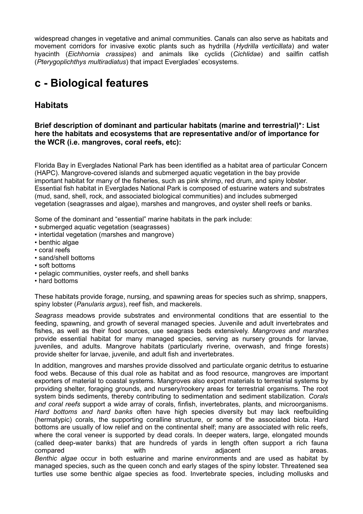widespread changes in vegetative and animal communities. Canals can also serve as habitats and movement corridors for invasive exotic plants such as hydrilla (*Hydrilla verticillata*) and water hyacinth (*Eichhornia crassipes*) and animals like cyclids (*Cichlidae*) and sailfin catfish (*Pterygoplichthys multiradiatus*) that impact Everglades' ecosystems.

### **c - Biological features**

#### **Habitats**

**Brief description of dominant and particular habitats (marine and terrestrial)\*: List here the habitats and ecosystems that are representative and/or of importance for the WCR (i.e. mangroves, coral reefs, etc):** 

Florida Bay in Everglades National Park has been identified as a habitat area of particular Concern (HAPC). Mangrove-covered islands and submerged aquatic vegetation in the bay provide important habitat for many of the fisheries, such as pink shrimp, red drum, and spiny lobster. Essential fish habitat in Everglades National Park is composed of estuarine waters and substrates (mud, sand, shell, rock, and associated biological communities) and includes submerged vegetation (seagrasses and algae), marshes and mangroves, and oyster shell reefs or banks.

Some of the dominant and "essential" marine habitats in the park include:

- submerged aquatic vegetation (seagrasses)
- intertidal vegetation (marshes and mangrove)
- benthic algae
- coral reefs
- sand/shell bottoms
- soft bottoms
- pelagic communities, oyster reefs, and shell banks
- hard bottoms

These habitats provide forage, nursing, and spawning areas for species such as shrimp, snappers, spiny lobster (*Panularis argus*), reef fish, and mackerels.

*Seagrass* meadows provide substrates and environmental conditions that are essential to the feeding, spawning, and growth of several managed species. Juvenile and adult invertebrates and fishes, as well as their food sources, use seagrass beds extensively. *Mangroves and marshes* provide essential habitat for many managed species, serving as nursery grounds for larvae, juveniles, and adults. Mangrove habitats (particularly riverine, overwash, and fringe forests) provide shelter for larvae, juvenile, and adult fish and invertebrates.

In addition, mangroves and marshes provide dissolved and particulate organic detritus to estuarine food webs. Because of this dual role as habitat and as food resource, mangroves are important exporters of material to coastal systems. Mangroves also export materials to terrestrial systems by providing shelter, foraging grounds, and nursery/rookery areas for terrestrial organisms. The root system binds sediments, thereby contributing to sedimentation and sediment stabilization. *Corals and coral reefs* support a wide array of corals, finfish, invertebrates, plants, and microorganisms. *Hard bottoms and hard banks* often have high species diversity but may lack reefbuilding (hermatypic) corals, the supporting coralline structure, or some of the associated biota. Hard bottoms are usually of low relief and on the continental shelf; many are associated with relic reefs, where the coral veneer is supported by dead corals. In deeper waters, large, elongated mounds (called deep-water banks) that are hundreds of yards in length often support a rich fauna compared with with adjacent advanced areas. *Benthic algae* occur in both estuarine and marine environments and are used as habitat by managed species, such as the queen conch and early stages of the spiny lobster. Threatened sea turtles use some benthic algae species as food. Invertebrate species, including mollusks and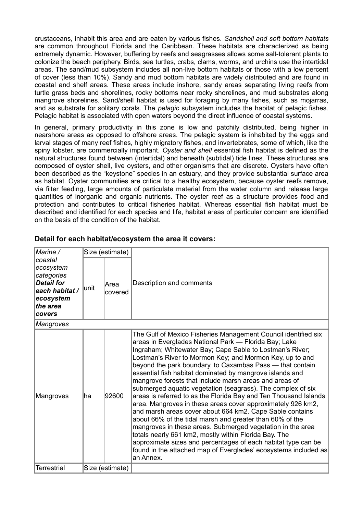crustaceans, inhabit this area and are eaten by various fishes. *Sandshell and soft bottom habitats* are common throughout Florida and the Caribbean. These habitats are characterized as being extremely dynamic. However, buffering by reefs and seagrasses allows some salt-tolerant plants to colonize the beach periphery. Birds, sea turtles, crabs, clams, worms, and urchins use the intertidal areas. The sand/mud subsystem includes all non-live bottom habitats or those with a low percent of cover (less than 10%). Sandy and mud bottom habitats are widely distributed and are found in coastal and shelf areas. These areas include inshore, sandy areas separating living reefs from turtle grass beds and shorelines, rocky bottoms near rocky shorelines, and mud substrates along mangrove shorelines. Sand/shell habitat is used for foraging by many fishes, such as mojarras, and as substrate for solitary corals. The *pelagic* subsystem includes the habitat of pelagic fishes. Pelagic habitat is associated with open waters beyond the direct influence of coastal systems.

In general, primary productivity in this zone is low and patchily distributed, being higher in nearshore areas as opposed to offshore areas. The pelagic system is inhabited by the eggs and larval stages of many reef fishes, highly migratory fishes, and invertebrates, some of which, like the spiny lobster, are commercially important. *Oyster and shell* essential fish habitat is defined as the natural structures found between (intertidal) and beneath (subtidal) tide lines. These structures are composed of oyster shell, live oysters, and other organisms that are discrete. Oysters have often been described as the "keystone" species in an estuary, and they provide substantial surface area as habitat. Oyster communities are critical to a healthy ecosystem, because oyster reefs remove, via filter feeding, large amounts of particulate material from the water column and release large quantities of inorganic and organic nutrients. The oyster reef as a structure provides food and protection and contributes to critical fisheries habitat. Whereas essential fish habitat must be described and identified for each species and life, habitat areas of particular concern are identified on the basis of the condition of the habitat.

| Marine /                                                                                                     | Size (estimate) |                 |                                                                                                                                                                                                                                                                                                                                                                                                                                                                                                                                                                                                                                                                                                                                                                                                                                                                                                                                                                                                                                      |  |
|--------------------------------------------------------------------------------------------------------------|-----------------|-----------------|--------------------------------------------------------------------------------------------------------------------------------------------------------------------------------------------------------------------------------------------------------------------------------------------------------------------------------------------------------------------------------------------------------------------------------------------------------------------------------------------------------------------------------------------------------------------------------------------------------------------------------------------------------------------------------------------------------------------------------------------------------------------------------------------------------------------------------------------------------------------------------------------------------------------------------------------------------------------------------------------------------------------------------------|--|
| coastal<br>ecosystem<br>categories<br><b>Detail for</b><br>each habitat /<br>ecosystem<br>the area<br>covers | unit            | Area<br>covered | Description and comments                                                                                                                                                                                                                                                                                                                                                                                                                                                                                                                                                                                                                                                                                                                                                                                                                                                                                                                                                                                                             |  |
| <b>Mangroves</b>                                                                                             |                 |                 |                                                                                                                                                                                                                                                                                                                                                                                                                                                                                                                                                                                                                                                                                                                                                                                                                                                                                                                                                                                                                                      |  |
| Mangroves                                                                                                    | ha              | 92600           | The Gulf of Mexico Fisheries Management Council identified six<br>areas in Everglades National Park - Florida Bay; Lake<br>Ingraham; Whitewater Bay; Cape Sable to Lostman's River;<br>Lostman's River to Mormon Key; and Mormon Key, up to and<br>beyond the park boundary, to Caxambas Pass - that contain<br>essential fish habitat dominated by mangrove islands and<br>mangrove forests that include marsh areas and areas of<br>submerged aquatic vegetation (seagrass). The complex of six<br>areas is referred to as the Florida Bay and Ten Thousand Islands<br>area. Mangroves in these areas cover approximately 926 km2,<br>and marsh areas cover about 664 km2. Cape Sable contains<br>about 66% of the tidal marsh and greater than 60% of the<br>mangroves in these areas. Submerged vegetation in the area<br>totals nearly 661 km2, mostly within Florida Bay. The<br>approximate sizes and percentages of each habitat type can be<br>found in the attached map of Everglades' ecosystems included as<br>an Annex. |  |
| Terrestrial                                                                                                  |                 | Size (estimate) |                                                                                                                                                                                                                                                                                                                                                                                                                                                                                                                                                                                                                                                                                                                                                                                                                                                                                                                                                                                                                                      |  |

#### **Detail for each habitat/ecosystem the area it covers:**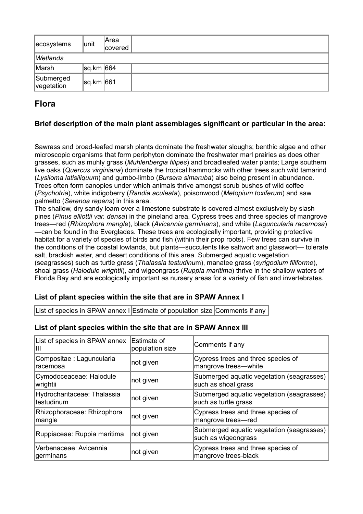| ecosystems              | unit      | lArea<br>covered |  |
|-------------------------|-----------|------------------|--|
| Wetlands                |           |                  |  |
| Marsh                   | sq.km 664 |                  |  |
| Submerged<br>vegetation | sq.km 661 |                  |  |

#### **Flora**

#### **Brief description of the main plant assemblages significant or particular in the area:**

Sawrass and broad-leafed marsh plants dominate the freshwater sloughs; benthic algae and other microscopic organisms that form periphyton dominate the freshwater marl prairies as does other grasses, such as muhly grass (*Muhlenbergia filipes*) and broadleafed water plants; Large southern live oaks (*Quercus virginiana*) dominate the tropical hammocks with other trees such wild tamarind (*Lysiloma latisiliquum*) and gumbo-limbo (*Bursera simaruba*) also being present in abundance. Trees often form canopies under which animals thrive amongst scrub bushes of wild coffee (*Psychotri*a), white indigoberry (*Randia aculeata*), poisonwood (*Metopium toxiferum*) and saw palmetto (*Serenoa repens*) in this area.

The shallow, dry sandy loam over a limestone substrate is covered almost exclusively by slash pines (*Pinus elliottii var. densa*) in the pineland area. Cypress trees and three species of mangrove trees—red (*Rhizophora mangle*), black (*Avicennia germinans*), and white (*Laguncularia racemosa*) —can be found in the Everglades. These trees are ecologically important, providing protective habitat for a variety of species of birds and fish (within their prop roots). Few trees can survive in the conditions of the coastal lowlands, but plants—succulents like saltwort and glasswort— tolerate salt, brackish water, and desert conditions of this area. Submerged aquatic vegetation (seagrasses) such as turtle grass (*Thalassia testudinu*m), manatee grass (*syrigodium filiforme*), shoal grass (*Halodule wrightii*), and wigeongrass (*Ruppia maritima*) thrive in the shallow waters of Florida Bay and are ecologically important as nursery areas for a variety of fish and invertebrates.

#### **List of plant species within the site that are in SPAW Annex I**

List of species in SPAW annex I Estimate of population size Comments if any

#### **List of plant species within the site that are in SPAW Annex III**

| List of species in SPAW annex<br>Ш         | Estimate of<br>population size | Comments if any                                                   |
|--------------------------------------------|--------------------------------|-------------------------------------------------------------------|
| Compositae : Laguncularia<br>racemosa      | not given                      | Cypress trees and three species of<br>mangrove trees-white        |
| Cymodoceaceae: Halodule<br>wrightii        | not given                      | Submerged aquatic vegetation (seagrasses)<br>such as shoal grass  |
| Hydrocharitaceae: Thalassia<br>ltestudinum | not given                      | Submerged aquatic vegetation (seagrasses)<br>such as turtle grass |
| Rhizophoraceae: Rhizophora<br>mangle       | not given                      | Cypress trees and three species of<br>mangrove trees-red          |
| Ruppiaceae: Ruppia maritima                | not given                      | Submerged aquatic vegetation (seagrasses)<br>such as wigeongrass  |
| Verbenaceae: Avicennia<br>germinans        | not given                      | Cypress trees and three species of<br>mangrove trees-black        |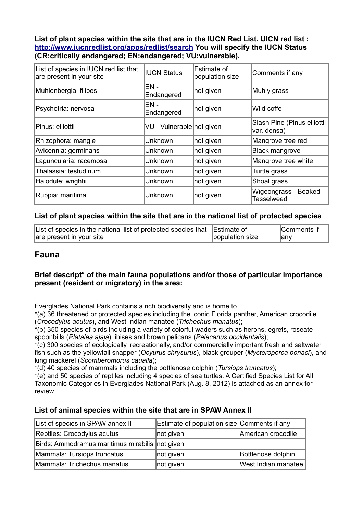**List of plant species within the site that are in the IUCN Red List. UICN red list : <http://www.iucnredlist.org/apps/redlist/search>You will specify the IUCN Status (CR:critically endangered; EN:endangered; VU:vulnerable).**

| List of species in IUCN red list that<br>are present in your site | <b>IUCN Status</b>        | Estimate of<br>population size | Comments if any                            |
|-------------------------------------------------------------------|---------------------------|--------------------------------|--------------------------------------------|
| Muhlenbergia: filipes                                             | EN -<br>Endangered        | not given                      | Muhly grass                                |
| Psychotria: nervosa                                               | $EN -$<br>Endangered      | not given                      | Wild coffe                                 |
| Pinus: elliottii                                                  | VU - Vulnerable not given |                                | Slash Pine (Pinus elliottii<br>var. densa) |
| Rhizophora: mangle                                                | Unknown                   | not given                      | Mangrove tree red                          |
| Avicennia: germinans                                              | Unknown                   | not given                      | <b>Black mangrove</b>                      |
| Laguncularia: racemosa                                            | Unknown                   | not given                      | Mangrove tree white                        |
| Thalassia: testudinum                                             | Unknown                   | not given                      | Turtle grass                               |
| Halodule: wrightii                                                | Unknown                   | not given                      | Shoal grass                                |
| Ruppia: maritima                                                  | Unknown                   | not given                      | Wigeongrass - Beaked<br><b>Tasselweed</b>  |

#### **List of plant species within the site that are in the national list of protected species**

| List of species in the national list of protected species that Estimate of |                 | Comments if |
|----------------------------------------------------------------------------|-----------------|-------------|
| are present in your site                                                   | population size | anv         |

#### **Fauna**

#### **Brief descript° of the main fauna populations and/or those of particular importance present (resident or migratory) in the area:**

Everglades National Park contains a rich biodiversity and is home to

\*(a) 36 threatened or protected species including the iconic Florida panther, American crocodile (*Crocodylus acutus*), and West Indian manatee (*Trichechus manatus*);

\*(b) 350 species of birds including a variety of colorful waders such as herons, egrets, roseate spoonbills (*Platalea ajaja*), ibises and brown pelicans (*Pelecanus occidentalis*);

\*(c) 300 species of ecologically, recreationally, and/or commercially important fresh and saltwater fish such as the yellowtail snapper (*Ocyurus chrysurus*), black grouper (*Mycteroperca bonaci*), and king mackerel (*Scomberomorus caualla*);

\*(d) 40 species of mammals including the bottlenose dolphin (*Tursiops truncatus*);

\*(e) and 50 species of reptiles including 4 species of sea turtles. A Certified Species List for All Taxonomic Categories in Everglades National Park (Aug. 8, 2012) is attached as an annex for review.

#### **List of animal species within the site that are in SPAW Annex II**

| List of species in SPAW annex II                | Estimate of population size Comments if any |                     |
|-------------------------------------------------|---------------------------------------------|---------------------|
| Reptiles: Crocodylus acutus                     | not given                                   | American crocodile  |
| Birds: Ammodramus maritimus mirabilis not given |                                             |                     |
| Mammals: Tursiops truncatus                     | not given                                   | Bottlenose dolphin  |
| Mammals: Trichechus manatus                     | not given                                   | West Indian manatee |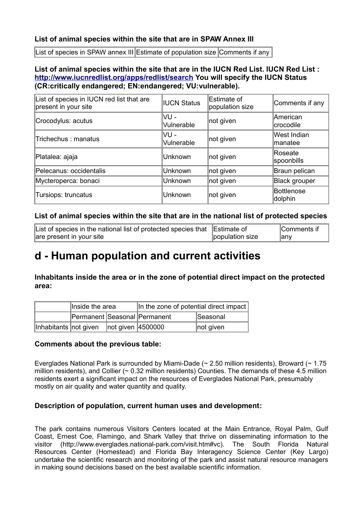#### **List of animal species within the site that are in SPAW Annex III**

List of species in SPAW annex III Estimate of population size Comments if any

#### **List of animal species within the site that are in the IUCN Red List. IUCN Red List : <http://www.iucnredlist.org/apps/redlist/search>You will specify the IUCN Status (CR:critically endangered; EN:endangered; VU:vulnerable).**

| List of species in IUCN red list that are<br>present in your site | <b>IUCN Status</b> | Estimate of<br>population size | Comments if any              |
|-------------------------------------------------------------------|--------------------|--------------------------------|------------------------------|
| Crocodylus: acutus                                                | VU-<br>Vulnerable  | not given                      | American<br>crocodile        |
| Trichechus: manatus                                               | VU -<br>Vulnerable | not given                      | West Indian<br>lmanatee      |
| Platalea: ajaja                                                   | <b>Unknown</b>     | not given                      | Roseate<br>spoonbills        |
| Pelecanus: occidentalis                                           | Unknown            | not given                      | Braun pelican                |
| Mycteroperca: bonaci                                              | Unknown            | not given                      | <b>Black grouper</b>         |
| Tursiops: truncatus                                               | <b>Unknown</b>     | not given                      | <b>Bottlenose</b><br>dolphin |

#### **List of animal species within the site that are in the national list of protected species**

| List of species in the national list of protected species that Estimate of |                 | Comments if |
|----------------------------------------------------------------------------|-----------------|-------------|
| are present in your site                                                   | population size | ∣any        |

### **d - Human population and current activities**

**Inhabitants inside the area or in the zone of potential direct impact on the protected area:** 

| Inside the area                         |  | In the zone of potential direct impact |           |  |
|-----------------------------------------|--|----------------------------------------|-----------|--|
| Permanent Seasonal Permanent            |  | Seasonal                               |           |  |
| Inhabitants not given not given 4500000 |  |                                        | not given |  |

#### **Comments about the previous table:**

Everglades National Park is surrounded by Miami-Dade (~ 2.50 million residents), Broward (~ 1.75 million residents), and Collier (~ 0.32 million residents) Counties. The demands of these 4.5 million residents exert a significant impact on the resources of Everglades National Park, presumably mostly on air quality and water quantity and quality.

#### **Description of population, current human uses and development:**

The park contains numerous Visitors Centers located at the Main Entrance, Royal Palm, Gulf Coast, Ernest Coe, Flamingo, and Shark Valley that thrive on disseminating information to the visitor (http://www.everglades.national-park.com/visit.htm#vc). The South Florida Natural Resources Center (Homestead) and Florida Bay Interagency Science Center (Key Largo) undertake the scientific research and monitoring of the park and assist natural resource managers in making sound decisions based on the best available scientific information.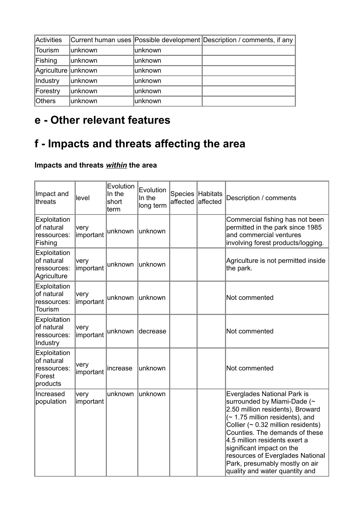| <b>Activities</b>    |         |         | Current human uses Possible development Description / comments, if any |
|----------------------|---------|---------|------------------------------------------------------------------------|
| Tourism              | unknown | unknown |                                                                        |
| Fishing              | unknown | unknown |                                                                        |
| Agriculture  unknown |         | unknown |                                                                        |
| Industry             | unknown | unknown |                                                                        |
| Forestry             | unknown | unknown |                                                                        |
| <b>Others</b>        | unknown | unknown |                                                                        |

### **e - Other relevant features**

### **f - Impacts and threats affecting the area**

### **Impacts and threats** *within* **the area**

| Impact and<br>threats                                           | level             | Evolution<br>In the<br>short<br>term | Evolution<br>In the<br>long term | <b>Species</b><br>affected | <b>Habitats</b><br>affected | Description / comments                                                                                                                                                                                                                                                                                                                                                                     |
|-----------------------------------------------------------------|-------------------|--------------------------------------|----------------------------------|----------------------------|-----------------------------|--------------------------------------------------------------------------------------------------------------------------------------------------------------------------------------------------------------------------------------------------------------------------------------------------------------------------------------------------------------------------------------------|
| Exploitation<br>of natural<br>ressources:<br>Fishing            | very<br>important | unknown                              | unknown                          |                            |                             | Commercial fishing has not been<br>permitted in the park since 1985<br>and commercial ventures<br>involving forest products/logging.                                                                                                                                                                                                                                                       |
| Exploitation<br>of natural<br>ressources:<br>Agriculture        | very<br>important | unknown                              | unknown                          |                            |                             | Agriculture is not permitted inside<br>the park.                                                                                                                                                                                                                                                                                                                                           |
| Exploitation<br>of natural<br>ressources:<br>Tourism            | very<br>important | unknown                              | unknown                          |                            |                             | Not commented                                                                                                                                                                                                                                                                                                                                                                              |
| Exploitation<br>of natural<br>ressources:<br>Industry           | very<br>important | unknown                              | decrease                         |                            |                             | Not commented                                                                                                                                                                                                                                                                                                                                                                              |
| Exploitation<br>of natural<br>ressources:<br>Forest<br>products | very<br>important | increase                             | unknown                          |                            |                             | Not commented                                                                                                                                                                                                                                                                                                                                                                              |
| Increased<br>population                                         | very<br>important | unknown                              | unknown                          |                            |                             | Everglades National Park is<br>surrounded by Miami-Dade (~<br>2.50 million residents), Broward<br>$($ ~ 1.75 million residents), and<br>Collier $($ $\sim$ 0.32 million residents)<br>Counties. The demands of these<br>4.5 million residents exert a<br>significant impact on the<br>resources of Everglades National<br>Park, presumably mostly on air<br>quality and water quantity and |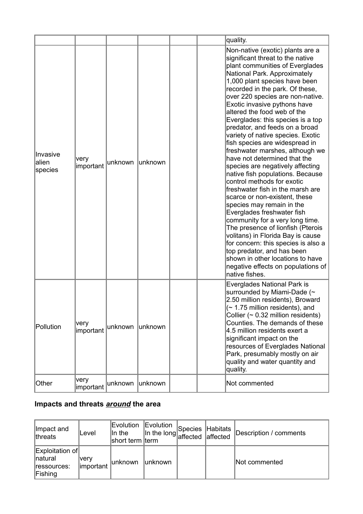|                               |                   |         |         |  | quality.                                                                                                                                                                                                                                                                                                                                                                                                                                                                                                                                                                                                                                                                                                                                                                                                                                                                                                                                                                                                                                            |
|-------------------------------|-------------------|---------|---------|--|-----------------------------------------------------------------------------------------------------------------------------------------------------------------------------------------------------------------------------------------------------------------------------------------------------------------------------------------------------------------------------------------------------------------------------------------------------------------------------------------------------------------------------------------------------------------------------------------------------------------------------------------------------------------------------------------------------------------------------------------------------------------------------------------------------------------------------------------------------------------------------------------------------------------------------------------------------------------------------------------------------------------------------------------------------|
| Invasive<br>lalien<br>species | very<br>important | unknown | unknown |  | Non-native (exotic) plants are a<br>significant threat to the native<br>plant communities of Everglades<br>National Park. Approximately<br>1,000 plant species have been<br>recorded in the park. Of these,<br>over 220 species are non-native.<br>Exotic invasive pythons have<br>altered the food web of the<br>Everglades: this species is a top<br>predator, and feeds on a broad<br>variety of native species. Exotic<br>fish species are widespread in<br>freshwater marshes, although we<br>have not determined that the<br>species are negatively affecting<br>native fish populations. Because<br>control methods for exotic<br>freshwater fish in the marsh are<br>scarce or non-existent, these<br>species may remain in the<br>Everglades freshwater fish<br>community for a very long time.<br>The presence of lionfish (Pterois<br>volitans) in Florida Bay is cause<br>for concern: this species is also a<br>top predator, and has been<br>shown in other locations to have<br>negative effects on populations of<br>native fishes. |
| Pollution                     | very<br>important | unknown | unknown |  | Everglades National Park is<br>surrounded by Miami-Dade (~<br>2.50 million residents), Broward<br>$($ ~ 1.75 million residents), and<br>Collier ( $\sim$ 0.32 million residents)<br>Counties. The demands of these<br>4.5 million residents exert a<br>significant impact on the<br>resources of Everglades National<br>Park, presumably mostly on air<br>quality and water quantity and<br>quality.                                                                                                                                                                                                                                                                                                                                                                                                                                                                                                                                                                                                                                                |
| Other                         | very<br>important | unknown | unknown |  | Not commented                                                                                                                                                                                                                                                                                                                                                                                                                                                                                                                                                                                                                                                                                                                                                                                                                                                                                                                                                                                                                                       |

#### **Impacts and threats** *around* **the area**

| Impact and<br>threats                                       | ∣Level             | Evolution<br>In the<br>short term term | Evolution<br>$\left  \ln \text{ the long} \right $ affected $\left  \frac{1}{2} \right $ | Species Habitats | laffected | Description / comments |
|-------------------------------------------------------------|--------------------|----------------------------------------|------------------------------------------------------------------------------------------|------------------|-----------|------------------------|
| <b>Exploitation of</b><br>natural<br>ressources:<br>Fishing | ∣verv<br>important | lunknown                               | ∣unknown                                                                                 |                  |           | Not commented          |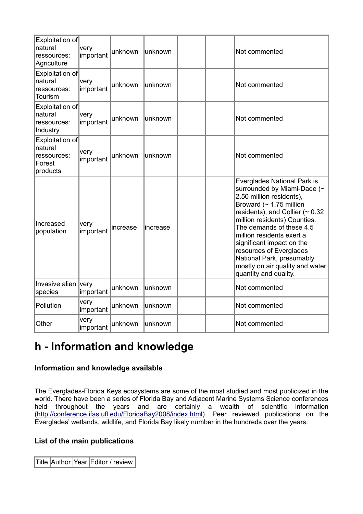| Exploitation of<br>natural<br>ressources:<br>Agriculture        | very<br>important | unknown  | unknown   |  | Not commented                                                                                                                                                                                                                                                                                                                                                                                              |
|-----------------------------------------------------------------|-------------------|----------|-----------|--|------------------------------------------------------------------------------------------------------------------------------------------------------------------------------------------------------------------------------------------------------------------------------------------------------------------------------------------------------------------------------------------------------------|
| Exploitation of<br>natural<br>ressources:<br>Tourism            | very<br>important | unknown  | unknown   |  | Not commented                                                                                                                                                                                                                                                                                                                                                                                              |
| Exploitation of<br>natural<br>ressources:<br>Industry           | very<br>important | unknown  | unknown   |  | Not commented                                                                                                                                                                                                                                                                                                                                                                                              |
| Exploitation of<br>natural<br>ressources:<br>Forest<br>products | very<br>important | unknown  | lunknown  |  | Not commented                                                                                                                                                                                                                                                                                                                                                                                              |
| Increased<br>population                                         | very<br>important | increase | lincrease |  | Everglades National Park is<br>surrounded by Miami-Dade (~<br>2.50 million residents),<br>Broward ( $\sim$ 1.75 million<br>residents), and Collier ( $\sim 0.32$<br>million residents) Counties.<br>The demands of these 4.5<br>million residents exert a<br>significant impact on the<br>resources of Everglades<br>National Park, presumably<br>mostly on air quality and water<br>quantity and quality. |
| Invasive alien very<br>species                                  | important         | unknown  | unknown   |  | Not commented                                                                                                                                                                                                                                                                                                                                                                                              |
| Pollution                                                       | very<br>important | unknown  | unknown   |  | Not commented                                                                                                                                                                                                                                                                                                                                                                                              |
| Other                                                           | very<br>important | unknown  | lunknown  |  | Not commented                                                                                                                                                                                                                                                                                                                                                                                              |

### **h - Information and knowledge**

#### **Information and knowledge available**

The Everglades-Florida Keys ecosystems are some of the most studied and most publicized in the world. There have been a series of Florida Bay and Adjacent Marine Systems Science conferences held throughout the years and are certainly a wealth of scientific information [\(http://conference.ifas.ufl.edu/FloridaBay2008/index.html\)](http://conference.ifas.ufl.edu/FloridaBay2008/index.html). Peer reviewed publications on the Everglades' wetlands, wildlife, and Florida Bay likely number in the hundreds over the years.

#### **List of the main publications**

Title Author Year Editor / review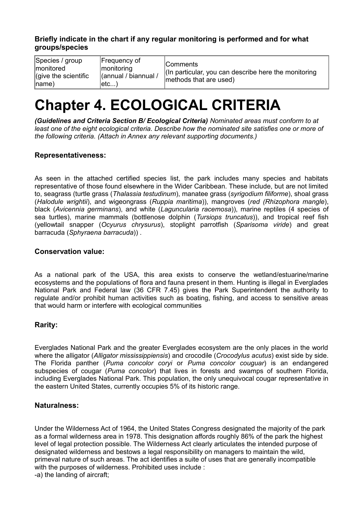#### **Briefly indicate in the chart if any regular monitoring is performed and for what groups/species**

| Species / group<br>Imonitored<br>$ $ (give the scientific<br>$ name\rangle$ | Frequency of<br> monitoring<br>(annual / biannual /<br>∣etc) | <b>Comments</b><br>(In particular, you can describe here the monitoring)<br>methods that are used) |
|-----------------------------------------------------------------------------|--------------------------------------------------------------|----------------------------------------------------------------------------------------------------|
|-----------------------------------------------------------------------------|--------------------------------------------------------------|----------------------------------------------------------------------------------------------------|

## **Chapter 4. ECOLOGICAL CRITERIA**

*(Guidelines and Criteria Section B/ Ecological Criteria) Nominated areas must conform to at least one of the eight ecological criteria. Describe how the nominated site satisfies one or more of the following criteria. (Attach in Annex any relevant supporting documents.)*

#### **Representativeness:**

As seen in the attached certified species list, the park includes many species and habitats representative of those found elsewhere in the Wider Caribbean. These include, but are not limited to, seagrass (turtle grass (*Thalassia testudinum*), manatee grass (*syrigodium filiforme*), shoal grass (*Halodule wrightii*), and wigeongrass (*Ruppia maritima*)), mangroves (*red (Rhizophora mangle*), black (*Avicennia germinans*), and white (*Laguncularia racemosa*)), marine reptiles (4 species of sea turtles), marine mammals (bottlenose dolphin (*Tursiops truncatus*)), and tropical reef fish (yellowtail snapper (*Ocyurus chrysurus*), stoplight parrotfish (*Sparisoma viride*) and great barracuda (*Sphyraena barracuda*)) .

#### **Conservation value:**

As a national park of the USA, this area exists to conserve the wetland/estuarine/marine ecosystems and the populations of flora and fauna present in them. Hunting is illegal in Everglades National Park and Federal law (36 CFR 7.45) gives the Park Superintendent the authority to regulate and/or prohibit human activities such as boating, fishing, and access to sensitive areas that would harm or interfere with ecological communities

#### **Rarity:**

Everglades National Park and the greater Everglades ecosystem are the only places in the world where the alligator (*Alligator mississippiensis*) and crocodile (*Crocodylus acutus*) exist side by side. The Florida panther (*Puma concolor coryi* or *Puma concolor couguar*) is an endangered subspecies of cougar (*Puma concolor*) that lives in forests and swamps of southern Florida, including Everglades National Park. This population, the only unequivocal cougar representative in the eastern United States, currently occupies 5% of its historic range.

#### **Naturalness:**

Under the Wilderness Act of 1964, the United States Congress designated the majority of the park as a formal wilderness area in 1978. This designation affords roughly 86% of the park the highest level of legal protection possible. The Wilderness Act clearly articulates the intended purpose of designated wilderness and bestows a legal responsibility on managers to maintain the wild, primeval nature of such areas. The act identifies a suite of uses that are generally incompatible with the purposes of wilderness. Prohibited uses include : -a) the landing of aircraft;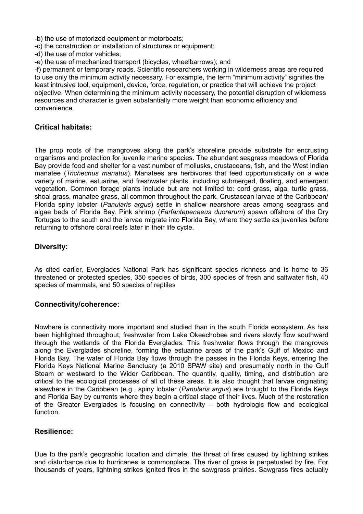-b) the use of motorized equipment or motorboats;

-c) the construction or installation of structures or equipment;

-d) the use of motor vehicles;

-e) the use of mechanized transport (bicycles, wheelbarrows); and

-f) permanent or temporary roads. Scientific researchers working in wilderness areas are required to use only the minimum activity necessary. For example, the term "minimum activity" signifies the least intrusive tool, equipment, device, force, regulation, or practice that will achieve the project objective. When determining the minimum activity necessary, the potential disruption of wilderness resources and character is given substantially more weight than economic efficiency and convenience.

#### **Critical habitats:**

The prop roots of the mangroves along the park's shoreline provide substrate for encrusting organisms and protection for juvenile marine species. The abundant seagrass meadows of Florida Bay provide food and shelter for a vast number of mollusks, crustaceans, fish, and the West Indian manatee (*Trichechus manatus*). Manatees are herbivores that feed opportunistically on a wide variety of marine, estuarine, and freshwater plants, including submerged, floating, and emergent vegetation. Common forage plants include but are not limited to: cord grass, alga, turtle grass, shoal grass, manatee grass, all common throughout the park. Crustacean larvae of the Caribbean/ Florida spiny lobster (*Panularis argus*) settle in shallow nearshore areas among seagrass and algae beds of Florida Bay. Pink shrimp (*Farfantepenaeus duorarum*) spawn offshore of the Dry Tortugas to the south and the larvae migrate into Florida Bay, where they settle as juveniles before returning to offshore coral reefs later in their life cycle.

#### **Diversity:**

As cited earlier, Everglades National Park has significant species richness and is home to 36 threatened or protected species, 350 species of birds, 300 species of fresh and saltwater fish, 40 species of mammals, and 50 species of reptiles

#### **Connectivity/coherence:**

Nowhere is connectivity more important and studied than in the south Florida ecosystem. As has been highlighted throughout, freshwater from Lake Okeechobee and rivers slowly flow southward through the wetlands of the Florida Everglades. This freshwater flows through the mangroves along the Everglades shoreline, forming the estuarine areas of the park's Gulf of Mexico and Florida Bay. The water of Florida Bay flows through the passes in the Florida Keys, entering the Florida Keys National Marine Sanctuary (a 2010 SPAW site) and presumably north in the Gulf Steam or westward to the Wider Caribbean. The quantity, quality, timing, and distribution are critical to the ecological processes of all of these areas. It is also thought that larvae originating elsewhere in the Caribbean (e.g., spiny lobster (*Panularis argus*) are brought to the Florida Keys and Florida Bay by currents where they begin a critical stage of their lives. Much of the restoration of the Greater Everglades is focusing on connectivity – both hydrologic flow and ecological function.

#### **Resilience:**

Due to the park's geographic location and climate, the threat of fires caused by lightning strikes and disturbance due to hurricanes is commonplace. The river of grass is perpetuated by fire. For thousands of years, lightning strikes ignited fires in the sawgrass prairies. Sawgrass fires actually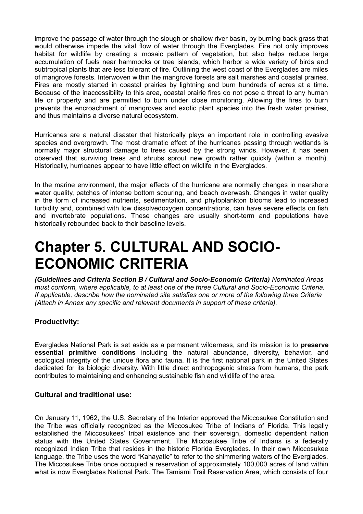improve the passage of water through the slough or shallow river basin, by burning back grass that would otherwise impede the vital flow of water through the Everglades. Fire not only improves habitat for wildlife by creating a mosaic pattern of vegetation, but also helps reduce large accumulation of fuels near hammocks or tree islands, which harbor a wide variety of birds and subtropical plants that are less tolerant of fire. Outlining the west coast of the Everglades are miles of mangrove forests. Interwoven within the mangrove forests are salt marshes and coastal prairies. Fires are mostly started in coastal prairies by lightning and burn hundreds of acres at a time. Because of the inaccessibility to this area, coastal prairie fires do not pose a threat to any human life or property and are permitted to burn under close monitoring. Allowing the fires to burn prevents the encroachment of mangroves and exotic plant species into the fresh water prairies, and thus maintains a diverse natural ecosystem.

Hurricanes are a natural disaster that historically plays an important role in controlling evasive species and overgrowth. The most dramatic effect of the hurricanes passing through wetlands is normally major structural damage to trees caused by the strong winds. However, it has been observed that surviving trees and shrubs sprout new growth rather quickly (within a month). Historically, hurricanes appear to have little effect on wildlife in the Everglades.

In the marine environment, the major effects of the hurricane are normally changes in nearshore water quality, patches of intense bottom scouring, and beach overwash. Changes in water quality in the form of increased nutrients, sedimentation, and phytoplankton blooms lead to increased turbidity and, combined with low dissolvedoxygen concentrations, can have severe effects on fish and invertebrate populations. These changes are usually short-term and populations have historically rebounded back to their baseline levels.

## **Chapter 5. CULTURAL AND SOCIO-ECONOMIC CRITERIA**

*(Guidelines and Criteria Section B / Cultural and Socio-Economic Criteria) Nominated Areas must conform, where applicable, to at least one of the three Cultural and Socio-Economic Criteria. If applicable, describe how the nominated site satisfies one or more of the following three Criteria (Attach in Annex any specific and relevant documents in support of these criteria).*

#### **Productivity:**

Everglades National Park is set aside as a permanent wilderness, and its mission is to **preserve essential primitive conditions** including the natural abundance, diversity, behavior, and ecological integrity of the unique flora and fauna. It is the first national park in the United States dedicated for its biologic diversity. With little direct anthropogenic stress from humans, the park contributes to maintaining and enhancing sustainable fish and wildlife of the area.

#### **Cultural and traditional use:**

On January 11, 1962, the U.S. Secretary of the Interior approved the Miccosukee Constitution and the Tribe was officially recognized as the Miccosukee Tribe of Indians of Florida. This legally established the Miccosukees' tribal existence and their sovereign, domestic dependent nation status with the United States Government. The Miccosukee Tribe of Indians is a federally recognized Indian Tribe that resides in the historic Florida Everglades. In their own Miccosukee language, the Tribe uses the word "Kahayatle" to refer to the shimmering waters of the Everglades. The Miccosukee Tribe once occupied a reservation of approximately 100,000 acres of land within what is now Everglades National Park. The Tamiami Trail Reservation Area, which consists of four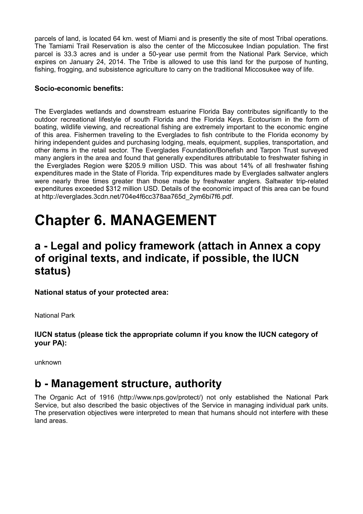parcels of land, is located 64 km. west of Miami and is presently the site of most Tribal operations. The Tamiami Trail Reservation is also the center of the Miccosukee Indian population. The first parcel is 33.3 acres and is under a 50-year use permit from the National Park Service, which expires on January 24, 2014. The Tribe is allowed to use this land for the purpose of hunting, fishing, frogging, and subsistence agriculture to carry on the traditional Miccosukee way of life.

#### **Socio-economic benefits:**

The Everglades wetlands and downstream estuarine Florida Bay contributes significantly to the outdoor recreational lifestyle of south Florida and the Florida Keys. Ecotourism in the form of boating, wildlife viewing, and recreational fishing are extremely important to the economic engine of this area. Fishermen traveling to the Everglades to fish contribute to the Florida economy by hiring independent guides and purchasing lodging, meals, equipment, supplies, transportation, and other items in the retail sector. The Everglades Foundation/Bonefish and Tarpon Trust surveyed many anglers in the area and found that generally expenditures attributable to freshwater fishing in the Everglades Region were \$205.9 million USD. This was about 14% of all freshwater fishing expenditures made in the State of Florida. Trip expenditures made by Everglades saltwater anglers were nearly three times greater than those made by freshwater anglers. Saltwater trip-related expenditures exceeded \$312 million USD. Details of the economic impact of this area can be found at http://everglades.3cdn.net/704e4f6cc378aa765d\_2ym6bi7f6.pdf.

## **Chapter 6. MANAGEMENT**

### **a - Legal and policy framework (attach in Annex a copy of original texts, and indicate, if possible, the IUCN status)**

**National status of your protected area:**

National Park

**IUCN status (please tick the appropriate column if you know the IUCN category of your PA):** 

unknown

### **b - Management structure, authority**

The Organic Act of 1916 (http://www.nps.gov/protect/) not only established the National Park Service, but also described the basic objectives of the Service in managing individual park units. The preservation objectives were interpreted to mean that humans should not interfere with these land areas.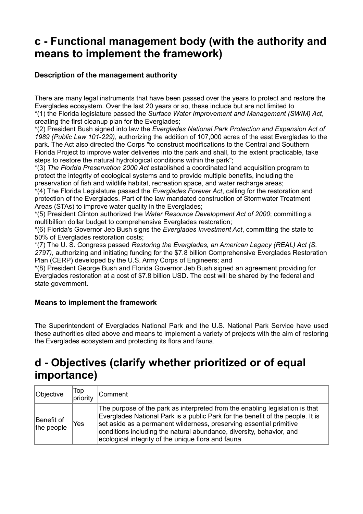### **c - Functional management body (with the authority and means to implement the framework)**

#### **Description of the management authority**

There are many legal instruments that have been passed over the years to protect and restore the Everglades ecosystem. Over the last 20 years or so, these include but are not limited to \*(1) the Florida legislature passed the *Surface Water Improvement and Management (SWIM) Act*, creating the first cleanup plan for the Everglades;

\*(2) President Bush signed into law the *Everglades National Park Protection and Expansion Act of 1989 (Public Law 101-229)*, authorizing the addition of 107,000 acres of the east Everglades to the park. The Act also directed the Corps "to construct modifications to the Central and Southern Florida Project to improve water deliveries into the park and shall, to the extent practicable, take steps to restore the natural hydrological conditions within the park";

\*(3) *The Florida Preservation 2000 Act* established a coordinated land acquisition program to protect the integrity of ecological systems and to provide multiple benefits, including the preservation of fish and wildlife habitat, recreation space, and water recharge areas;

\*(4) The Florida Legislature passed the *Everglades Forever Act*, calling for the restoration and protection of the Everglades. Part of the law mandated construction of Stormwater Treatment Areas (STAs) to improve water quality in the Everglades;

\*(5) President Clinton authorized the *Water Resource Development Act of 2000*; committing a multibillion dollar budget to comprehensive Everglades restoration;

\*(6) Florida's Governor Jeb Bush signs the *Everglades Investment Act*, committing the state to 50% of Everglades restoration costs;

\*(7) The U. S. Congress passed *Restoring the Everglades, an American Legacy (REAL) Act (S. 2797)*, authorizing and initiating funding for the \$7.8 billion Comprehensive Everglades Restoration Plan (CERP) developed by the U.S. Army Corps of Engineers; and

\*(8) President George Bush and Florida Governor Jeb Bush signed an agreement providing for Everglades restoration at a cost of \$7.8 billion USD. The cost will be shared by the federal and state government.

#### **Means to implement the framework**

The Superintendent of Everglades National Park and the U.S. National Park Service have used these authorities cited above and means to implement a variety of projects with the aim of restoring the Everglades ecosystem and protecting its flora and fauna.

### **d - Objectives (clarify whether prioritized or of equal importance)**

| Objective                | Top<br>priority | <b>Comment</b>                                                                                                                                                                                                                                                                                                                                                       |
|--------------------------|-----------------|----------------------------------------------------------------------------------------------------------------------------------------------------------------------------------------------------------------------------------------------------------------------------------------------------------------------------------------------------------------------|
| Benefit of<br>the people | Yes             | The purpose of the park as interpreted from the enabling legislation is that<br>Everglades National Park is a public Park for the benefit of the people. It is<br>set aside as a permanent wilderness, preserving essential primitive<br>conditions including the natural abundance, diversity, behavior, and<br>ecological integrity of the unique flora and fauna. |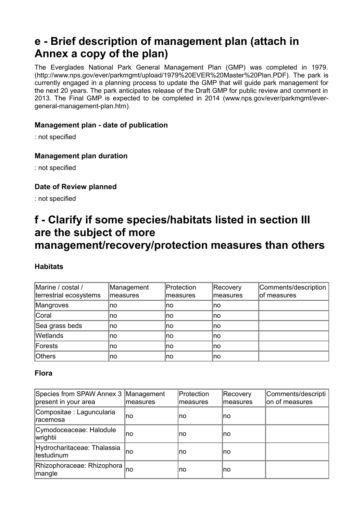### **e - Brief description of management plan (attach in Annex a copy of the plan)**

The Everglades National Park General Management Plan (GMP) was completed in 1979. (http://www.nps.gov/ever/parkmgmt/upload/1979%20EVER%20Master%20Plan.PDF). The park is currently engaged in a planning process to update the GMP that will guide park management for the next 20 years. The park anticipates release of the Draft GMP for public review and comment in 2013. The Final GMP is expected to be completed in 2014 (www.nps.gov/ever/parkmgmt/evergeneral-management-plan.htm).

#### **Management plan - date of publication**

: not specified

#### **Management plan duration**

: not specified

#### **Date of Review planned**

: not specified

### **f - Clarify if some species/habitats listed in section III are the subject of more**

### **management/recovery/protection measures than others**

#### **Habitats**

| Marine / costal /<br>terrestrial ecosystems | Management<br>lmeasures | Protection<br>lmeasures | Recovery<br>measures | Comments/description<br>of measures |
|---------------------------------------------|-------------------------|-------------------------|----------------------|-------------------------------------|
| Mangroves                                   | ∣no                     | Ino                     | Ino.                 |                                     |
| Coral                                       | no                      | Ino                     | no                   |                                     |
| Sea grass beds                              | no                      | Ino                     | ∣no                  |                                     |
| Wetlands                                    | no                      | Ino                     | no                   |                                     |
| Forests                                     | no                      | Ino                     | Ino.                 |                                     |
| Others                                      | no                      | Ino                     | Ino                  |                                     |

#### **Flora**

| Species from SPAW Annex 3<br>present in your area | Management<br>measures | Protection<br>measures | Recovery<br>measures | Comments/descripti<br>on of measures |
|---------------------------------------------------|------------------------|------------------------|----------------------|--------------------------------------|
| Compositae : Laguncularia<br>Iracemosa            | no                     | no                     | Ino                  |                                      |
| Cymodoceaceae: Halodule<br> wrightii              | no                     | no                     | Ino                  |                                      |
| Hydrocharitaceae: Thalassia<br>testudinum         | no                     | no                     | Ino                  |                                      |
| Rhizophoraceae: Rhizophora<br> mangle             | no                     | no                     | Ino                  |                                      |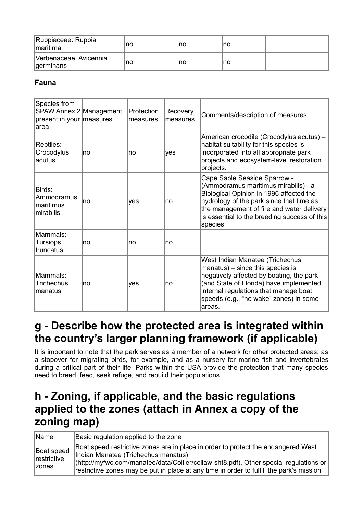| Ruppiaceae: Ruppia<br><i>Imaritima</i> | no | ∣no | Ino |  |
|----------------------------------------|----|-----|-----|--|
| Verbenaceae: Avicennia<br> germinans   | no | no  | Ino |  |

#### **Fauna**

| Species from<br>SPAW Annex 2 Management<br>present in your measures<br>larea |     | Protection<br>measures | Recovery<br>measures | Comments/description of measures                                                                                                                                                                                                                                     |
|------------------------------------------------------------------------------|-----|------------------------|----------------------|----------------------------------------------------------------------------------------------------------------------------------------------------------------------------------------------------------------------------------------------------------------------|
| Reptiles:<br>Crocodylus<br>acutus                                            | Ino | Ino                    | yes                  | American crocodile (Crocodylus acutus) -<br>habitat suitability for this species is<br>incorporated into all appropriate park<br>projects and ecosystem-level restoration<br>projects.                                                                               |
| Birds:<br>lAmmodramus<br>Imaritimus<br>lmirabilis                            | Ino | ves                    | no                   | Cape Sable Seaside Sparrow -<br>(Ammodramus maritimus mirabilis) - a<br>Biological Opinion in 1996 affected the<br>hydrology of the park since that time as<br>the management of fire and water delivery<br>is essential to the breeding success of this<br>species. |
| Mammals:<br><b>Tursiops</b><br>truncatus                                     | Ino | no                     | no                   |                                                                                                                                                                                                                                                                      |
| Mammals:<br><b>Trichechus</b><br>manatus                                     | Ino | ves                    | no                   | West Indian Manatee (Trichechus<br>manatus) – since this species is<br>negatively affected by boating, the park<br>(and State of Florida) have implemented<br>internal regulations that manage boat<br>speeds (e.g., "no wake" zones) in some<br>lareas.             |

### **g - Describe how the protected area is integrated within the country's larger planning framework (if applicable)**

It is important to note that the park serves as a member of a network for other protected areas; as a stopover for migrating birds, for example, and as a nursery for marine fish and invertebrates during a critical part of their life. Parks within the USA provide the protection that many species need to breed, feed, seek refuge, and rebuild their populations.

### **h - Zoning, if applicable, and the basic regulations applied to the zones (attach in Annex a copy of the zoning map)**

| Name                                       | Basic regulation applied to the zone                                                                                                                                                                                                                                                                           |
|--------------------------------------------|----------------------------------------------------------------------------------------------------------------------------------------------------------------------------------------------------------------------------------------------------------------------------------------------------------------|
| Boat speed<br>restrictive<br><b>Izones</b> | Boat speed restrictive zones are in place in order to protect the endangered West<br>Indian Manatee (Trichechus manatus)<br> (http://myfwc.com/manatee/data/Collier/collaw-sht8.pdf). Other special regulations or<br>restrictive zones may be put in place at any time in order to fulfill the park's mission |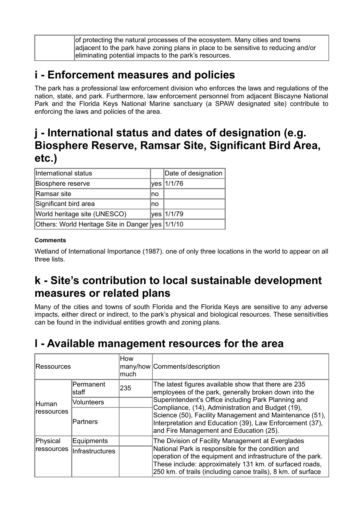| of protecting the natural processes of the ecosystem. Many cities and towns        |
|------------------------------------------------------------------------------------|
| adjacent to the park have zoning plans in place to be sensitive to reducing and/or |
| eliminating potential impacts to the park's resources.                             |

### **i - Enforcement measures and policies**

The park has a professional law enforcement division who enforces the laws and regulations of the nation, state, and park. Furthermore, law enforcement personnel from adjacent Biscayne National Park and the Florida Keys National Marine sanctuary (a SPAW designated site) contribute to enforcing the laws and policies of the area.

### **j - International status and dates of designation (e.g. Biosphere Reserve, Ramsar Site, Significant Bird Area, etc.)**

| International status                                |     | Date of designation |
|-----------------------------------------------------|-----|---------------------|
| Biosphere reserve                                   |     | yes   1/1/76        |
| Ramsar site                                         | lno |                     |
| Significant bird area                               | Ino |                     |
| World heritage site (UNESCO)                        |     | yes   1/1/79        |
| Others: World Heritage Site in Danger  yes   1/1/10 |     |                     |

#### **Comments**

Wetland of International Importance (1987). one of only three locations in the world to appear on all three lists.

### **k - Site's contribution to local sustainable development measures or related plans**

Many of the cities and towns of south Florida and the Florida Keys are sensitive to any adverse impacts, either direct or indirect, to the park's physical and biological resources. These sensitivities can be found in the individual entities growth and zoning plans.

### **l - Available management resources for the area**

| Ressources            |                            | How<br>much | many/how   Comments/description                                                                                                                                                                                                                                            |  |
|-----------------------|----------------------------|-------------|----------------------------------------------------------------------------------------------------------------------------------------------------------------------------------------------------------------------------------------------------------------------------|--|
|                       | Permanent<br>235<br>lstaff |             | The latest figures available show that there are 235<br>employees of the park, generally broken down into the                                                                                                                                                              |  |
| lHuman<br> ressources | Volunteers                 |             | Superintendent's Office including Park Planning and<br>Compliance, (14), Administration and Budget (19),<br>Science (50), Facility Management and Maintenance (51),<br>Interpretation and Education (39), Law Enforcement (37),<br>and Fire Management and Education (25). |  |
|                       | Partners                   |             |                                                                                                                                                                                                                                                                            |  |
| Physical              | Equipments                 |             | The Division of Facility Management at Everglades                                                                                                                                                                                                                          |  |
| Iressources           | <b>Infrastructures</b>     |             | National Park is responsible for the condition and<br>operation of the equipment and infrastructure of the park.<br>These include: approximately 131 km. of surfaced roads,<br>250 km. of trails (including canoe trails), 8 km. of surface                                |  |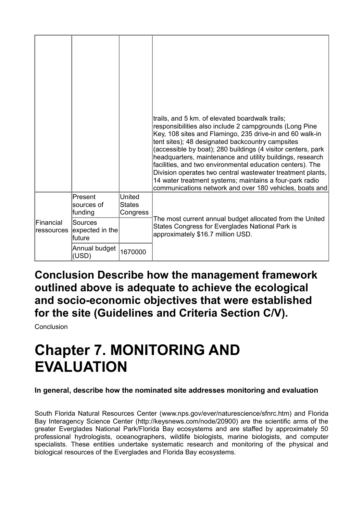|                         |                                       |                                     | trails, and 5 km. of elevated boardwalk trails;<br>responsibilities also include 2 campgrounds (Long Pine<br>Key, 108 sites and Flamingo, 235 drive-in and 60 walk-in<br>tent sites); 48 designated backcountry campsites<br>(accessible by boat); 280 buildings (4 visitor centers, park<br>headquarters, maintenance and utility buildings, research<br>facilities, and two environmental education centers). The<br>Division operates two central wastewater treatment plants,<br>14 water treatment systems; maintains a four-park radio<br>communications network and over 180 vehicles, boats and |
|-------------------------|---------------------------------------|-------------------------------------|---------------------------------------------------------------------------------------------------------------------------------------------------------------------------------------------------------------------------------------------------------------------------------------------------------------------------------------------------------------------------------------------------------------------------------------------------------------------------------------------------------------------------------------------------------------------------------------------------------|
|                         | Present<br>sources of<br>funding      | United<br><b>States</b><br>Congress |                                                                                                                                                                                                                                                                                                                                                                                                                                                                                                                                                                                                         |
| Financial<br>ressources | Sources<br>expected in the<br>lfuture |                                     | The most current annual budget allocated from the United<br>States Congress for Everglades National Park is<br>approximately \$16.7 million USD.                                                                                                                                                                                                                                                                                                                                                                                                                                                        |
|                         | Annual budget<br>(USD)                | 1670000                             |                                                                                                                                                                                                                                                                                                                                                                                                                                                                                                                                                                                                         |

**Conclusion Describe how the management framework outlined above is adequate to achieve the ecological and socio-economic objectives that were established for the site (Guidelines and Criteria Section C/V).**

Conclusion

## **Chapter 7. MONITORING AND EVALUATION**

#### **In general, describe how the nominated site addresses monitoring and evaluation**

South Florida Natural Resources Center (www.nps.gov/ever/naturescience/sfnrc.htm) and Florida Bay Interagency Science Center (http://keysnews.com/node/20900) are the scientific arms of the greater Everglades National Park/Florida Bay ecosystems and are staffed by approximately 50 professional hydrologists, oceanographers, wildlife biologists, marine biologists, and computer specialists. These entities undertake systematic research and monitoring of the physical and biological resources of the Everglades and Florida Bay ecosystems.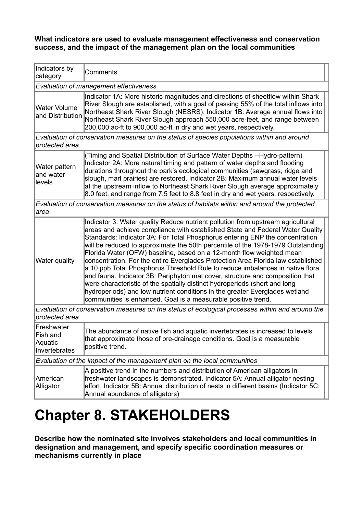**What indicators are used to evaluate management effectiveness and conservation success, and the impact of the management plan on the local communities** 

| Indicators by<br>category                                                | Comments                                                                                                                                                                                                                                                                                                                                                                                                                                                                                                                                                                                                                                                                                                                                                                                                                                                                                        |  |  |  |
|--------------------------------------------------------------------------|-------------------------------------------------------------------------------------------------------------------------------------------------------------------------------------------------------------------------------------------------------------------------------------------------------------------------------------------------------------------------------------------------------------------------------------------------------------------------------------------------------------------------------------------------------------------------------------------------------------------------------------------------------------------------------------------------------------------------------------------------------------------------------------------------------------------------------------------------------------------------------------------------|--|--|--|
|                                                                          | Evaluation of management effectiveness                                                                                                                                                                                                                                                                                                                                                                                                                                                                                                                                                                                                                                                                                                                                                                                                                                                          |  |  |  |
| <b>Water Volume</b><br>and Distribution                                  | Indicator 1A: More historic magnitudes and directions of sheetflow within Shark<br>River Slough are established, with a goal of passing 55% of the total inflows into<br>Northeast Shark River Slough (NESRS): Indicator 1B: Average annual flows into<br>Northeast Shark River Slough approach 550,000 acre-feet, and range between<br>200,000 ac-ft to 900,000 ac-ft in dry and wet years, respectively.                                                                                                                                                                                                                                                                                                                                                                                                                                                                                      |  |  |  |
| protected area                                                           | Evaluation of conservation measures on the status of species populations within and around                                                                                                                                                                                                                                                                                                                                                                                                                                                                                                                                                                                                                                                                                                                                                                                                      |  |  |  |
| Water pattern<br>and water<br>levels                                     | (Timing and Spatial Distribution of Surface Water Depths --Hydro-pattern)<br>Indicator 2A: More natural timing and pattern of water depths and flooding<br>durations throughout the park's ecological communities (sawgrass, ridge and<br>slough, marl prairies) are restored. Indicator 2B: Maximum annual water levels<br>at the upstream inflow to Northeast Shark River Slough average approximately<br>8.0 feet, and range from 7.5 feet to 8.8 feet in dry and wet years, respectively.                                                                                                                                                                                                                                                                                                                                                                                                   |  |  |  |
| area                                                                     | Evaluation of conservation measures on the status of habitats within and around the protected                                                                                                                                                                                                                                                                                                                                                                                                                                                                                                                                                                                                                                                                                                                                                                                                   |  |  |  |
| Water quality                                                            | Indicator 3: Water quality Reduce nutrient pollution from upstream agricultural<br>areas and achieve compliance with established State and Federal Water Quality<br>Standards: Indicator 3A: For Total Phosphorus entering ENP the concentration<br>will be reduced to approximate the 50th percentile of the 1978-1979 Outstanding<br>Florida Water (OFW) baseline, based on a 12-month flow weighted mean<br>concentration. For the entire Everglades Protection Area Florida law established<br>a 10 ppb Total Phosphorus Threshold Rule to reduce imbalances in native flora<br>and fauna. Indicator 3B: Periphyton mat cover, structure and composition that<br>were characteristic of the spatially distinct hydroperiods (short and long<br>hydroperiods) and low nutrient conditions in the greater Everglades wetland<br>communities is enhanced. Goal is a measurable positive trend. |  |  |  |
| protected area                                                           | Evaluation of conservation measures on the status of ecological processes within and around the                                                                                                                                                                                                                                                                                                                                                                                                                                                                                                                                                                                                                                                                                                                                                                                                 |  |  |  |
| Freshwater<br>Fish and<br>Aquatic<br>Invertebrates                       | The abundance of native fish and aquatic invertebrates is increased to levels<br>that approximate those of pre-drainage conditions. Goal is a measurable<br>positive trend.                                                                                                                                                                                                                                                                                                                                                                                                                                                                                                                                                                                                                                                                                                                     |  |  |  |
| Evaluation of the impact of the management plan on the local communities |                                                                                                                                                                                                                                                                                                                                                                                                                                                                                                                                                                                                                                                                                                                                                                                                                                                                                                 |  |  |  |
| American<br>Alligator                                                    | A positive trend in the numbers and distribution of American alligators in<br>freshwater landscapes is demonstrated. Indicator 5A: Annual alligator nesting<br>effort, Indicator 5B: Annual distribution of nests in different basins (Indicator 5C:<br>Annual abundance of alligators)                                                                                                                                                                                                                                                                                                                                                                                                                                                                                                                                                                                                         |  |  |  |

## **Chapter 8. STAKEHOLDERS**

**Describe how the nominated site involves stakeholders and local communities in designation and management, and specify specific coordination measures or mechanisms currently in place**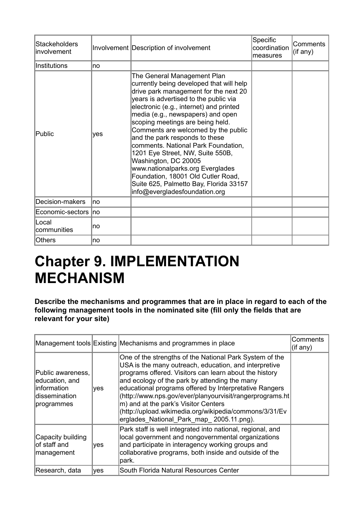| Stackeholders<br>involvement |     | Involvement Description of involvement                                                                                                                                                                                                                                                                                                                                                                                                                                                                                                                                                                         | Specific<br>coordination<br>measures | Comments<br>(if any) |
|------------------------------|-----|----------------------------------------------------------------------------------------------------------------------------------------------------------------------------------------------------------------------------------------------------------------------------------------------------------------------------------------------------------------------------------------------------------------------------------------------------------------------------------------------------------------------------------------------------------------------------------------------------------------|--------------------------------------|----------------------|
| Institutions                 | no  |                                                                                                                                                                                                                                                                                                                                                                                                                                                                                                                                                                                                                |                                      |                      |
| Public                       | yes | The General Management Plan<br>currently being developed that will help<br>drive park management for the next 20<br>years is advertised to the public via<br>electronic (e.g., internet) and printed<br>media (e.g., newspapers) and open<br>scoping meetings are being held.<br>Comments are welcomed by the public<br>and the park responds to these<br>comments. National Park Foundation,<br>1201 Eye Street, NW, Suite 550B,<br>Washington, DC 20005<br>www.nationalparks.org Everglades<br>Foundation, 18001 Old Cutler Road,<br>Suite 625, Palmetto Bay, Florida 33157<br>info@evergladesfoundation.org |                                      |                      |
| Decision-makers              | no  |                                                                                                                                                                                                                                                                                                                                                                                                                                                                                                                                                                                                                |                                      |                      |
| Economic-sectors Ino         |     |                                                                                                                                                                                                                                                                                                                                                                                                                                                                                                                                                                                                                |                                      |                      |
| lLocal<br>communities        | no  |                                                                                                                                                                                                                                                                                                                                                                                                                                                                                                                                                                                                                |                                      |                      |
| <b>Others</b>                | no  |                                                                                                                                                                                                                                                                                                                                                                                                                                                                                                                                                                                                                |                                      |                      |

## **Chapter 9. IMPLEMENTATION MECHANISM**

**Describe the mechanisms and programmes that are in place in regard to each of the following management tools in the nominated site (fill only the fields that are relevant for your site)** 

|                                                                                           |     | Management tools Existing Mechanisms and programmes in place                                                                                                                                                                                                                                                                                                                                                                                                                                    | Comments<br>(i f any) |
|-------------------------------------------------------------------------------------------|-----|-------------------------------------------------------------------------------------------------------------------------------------------------------------------------------------------------------------------------------------------------------------------------------------------------------------------------------------------------------------------------------------------------------------------------------------------------------------------------------------------------|-----------------------|
| Public awareness,<br>education, and<br>linformation<br><b>dissemination</b><br>programmes | yes | One of the strengths of the National Park System of the<br>USA is the many outreach, education, and interpretive<br>programs offered. Visitors can learn about the history<br>and ecology of the park by attending the many<br>educational programs offered by Interpretative Rangers<br>(http://www.nps.gov/ever/planyourvisit/rangerprograms.ht<br>m) and at the park's Visitor Centers<br>(http://upload.wikimedia.org/wikipedia/commons/3/31/Ev<br>erglades National Park map 2005.11.png). |                       |
| Capacity building<br>lof staff and<br>management                                          | yes | Park staff is well integrated into national, regional, and<br>local government and nongovernmental organizations<br>and participate in interagency working groups and<br>collaborative programs, both inside and outside of the<br>park.                                                                                                                                                                                                                                                        |                       |
| Research, data                                                                            | yes | South Florida Natural Resources Center                                                                                                                                                                                                                                                                                                                                                                                                                                                          |                       |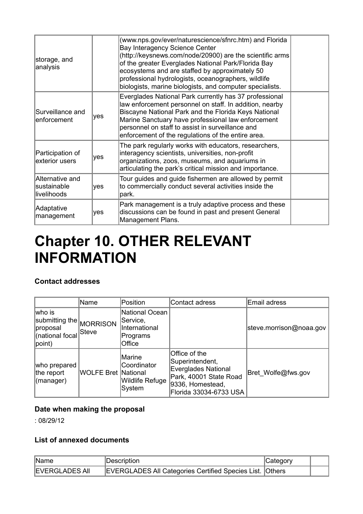| storage, and<br>analysis                      |     | (www.nps.gov/ever/naturescience/sfnrc.htm) and Florida<br>Bay Interagency Science Center<br>(http://keysnews.com/node/20900) are the scientific arms<br>of the greater Everglades National Park/Florida Bay<br>ecosystems and are staffed by approximately 50<br>professional hydrologists, oceanographers, wildlife<br>biologists, marine biologists, and computer specialists. |  |
|-----------------------------------------------|-----|----------------------------------------------------------------------------------------------------------------------------------------------------------------------------------------------------------------------------------------------------------------------------------------------------------------------------------------------------------------------------------|--|
| Surveillance and<br>enforcement               | yes | Everglades National Park currently has 37 professional<br>law enforcement personnel on staff. In addition, nearby<br>Biscayne National Park and the Florida Keys National<br>Marine Sanctuary have professional law enforcement<br>personnel on staff to assist in surveillance and<br>enforcement of the regulations of the entire area.                                        |  |
| Participation of<br>exterior users            | yes | The park regularly works with educators, researchers,<br>interagency scientists, universities, non-profit<br>organizations, zoos, museums, and aquariums in<br>articulating the park's critical mission and importance.                                                                                                                                                          |  |
| Alternative and<br>sustainable<br>livelihoods | yes | Tour guides and guide fishermen are allowed by permit<br>to commercially conduct several activities inside the<br>park.                                                                                                                                                                                                                                                          |  |
| Adaptative<br>management                      | yes | Park management is a truly adaptive process and these<br>discussions can be found in past and present General<br>Management Plans.                                                                                                                                                                                                                                               |  |

## **Chapter 10. OTHER RELEVANT INFORMATION**

#### **Contact addresses**

|                                                                              | Name                       | Position                                                          | Contact adress                                                                                                                         | Email adress            |
|------------------------------------------------------------------------------|----------------------------|-------------------------------------------------------------------|----------------------------------------------------------------------------------------------------------------------------------------|-------------------------|
| lwho is<br>submitting the MORRISON<br> proposal<br>(national focal<br>point) | Steve                      | National Ocean<br>Service,<br>International<br>Programs<br>Office |                                                                                                                                        | steve.morrison@noaa.gov |
| who prepared<br>the report<br>$\vert$ (manager)                              | <b>WOLFE Bret National</b> | Marine<br>Coordinator<br>Wildlife Refuge<br>System                | Office of the<br>Superintendent,<br><b>Everglades National</b><br>Park, 40001 State Road<br>9336, Homestead,<br>Florida 33034-6733 USA | Bret Wolfe@fws.gov      |

#### **Date when making the proposal**

: 08/29/12

#### **List of annexed documents**

| Name                  | Description                                              | Category |  |
|-----------------------|----------------------------------------------------------|----------|--|
| <b>EVERGLADES AII</b> | EVERGLADES All Categories Certified Species List. Others |          |  |